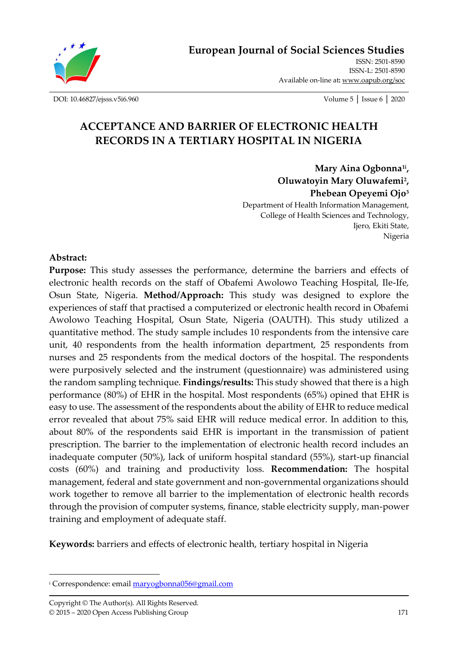

**[European Journal of Social Sciences Studies](http://oapub.org/soc/index.php/EJSSS)**

[ISSN: 2501-8590](http://oapub.org/soc/index.php/EJSSS)  ISSN-L: [2501-8590](http://oapub.org/soc/index.php/EJSSS)  Available on-line at**:** [www.oapub.org/soc](http://www.oapub.org/soc)

[DOI: 10.46827/ejsss.v5i6.960](http://dx.doi.org/10.46827/ejsss.v5i6.960) Volume 5 │ Issue 6 │ 2020

# **ACCEPTANCE AND BARRIER OF ELECTRONIC HEALTH RECORDS IN A TERTIARY HOSPITAL IN NIGERIA**

**Mary Aina Ogbonna1i , Oluwatoyin Mary Oluwafemi<sup>2</sup> , Phebean Opeyemi Ojo<sup>3</sup>** Department of Health Information Management, College of Health Sciences and Technology, Ijero, Ekiti State, Nigeria

#### **Abstract:**

**Purpose:** This study assesses the performance, determine the barriers and effects of electronic health records on the staff of Obafemi Awolowo Teaching Hospital, Ile-Ife, Osun State, Nigeria. **Method/Approach:** This study was designed to explore the experiences of staff that practised a computerized or electronic health record in Obafemi Awolowo Teaching Hospital, Osun State, Nigeria (OAUTH). This study utilized a quantitative method. The study sample includes 10 respondents from the intensive care unit, 40 respondents from the health information department, 25 respondents from nurses and 25 respondents from the medical doctors of the hospital. The respondents were purposively selected and the instrument (questionnaire) was administered using the random sampling technique. **Findings/results:** This study showed that there is a high performance (80%) of EHR in the hospital. Most respondents (65%) opined that EHR is easy to use. The assessment of the respondents about the ability of EHR to reduce medical error revealed that about 75% said EHR will reduce medical error. In addition to this, about 80% of the respondents said EHR is important in the transmission of patient prescription. The barrier to the implementation of electronic health record includes an inadequate computer (50%), lack of uniform hospital standard (55%), start-up financial costs (60%) and training and productivity loss. **Recommendation:** The hospital management, federal and state government and non-governmental organizations should work together to remove all barrier to the implementation of electronic health records through the provision of computer systems, finance, stable electricity supply, man-power training and employment of adequate staff.

**Keywords:** barriers and effects of electronic health, tertiary hospital in Nigeria

<sup>&</sup>lt;sup>i</sup> Correspondence: emai[l maryogbonna056@gmail.com](mailto:maryogbonna056@gmail.com)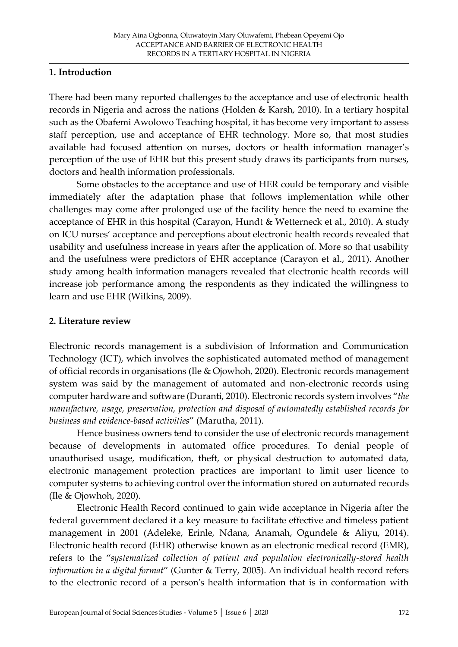### **1. Introduction**

There had been many reported challenges to the acceptance and use of electronic health records in Nigeria and across the nations (Holden & Karsh, 2010). In a tertiary hospital such as the Obafemi Awolowo Teaching hospital, it has become very important to assess staff perception, use and acceptance of EHR technology. More so, that most studies available had focused attention on nurses, doctors or health information manager's perception of the use of EHR but this present study draws its participants from nurses, doctors and health information professionals.

Some obstacles to the acceptance and use of HER could be temporary and visible immediately after the adaptation phase that follows implementation while other challenges may come after prolonged use of the facility hence the need to examine the acceptance of EHR in this hospital (Carayon, Hundt & Wetterneck et al., 2010). A study on ICU nurses' acceptance and perceptions about electronic health records revealed that usability and usefulness increase in years after the application of. More so that usability and the usefulness were predictors of EHR acceptance (Carayon et al., 2011). Another study among health information managers revealed that electronic health records will increase job performance among the respondents as they indicated the willingness to learn and use EHR (Wilkins, 2009).

### **2. Literature review**

Electronic records management is a subdivision of Information and Communication Technology (ICT), which involves the sophisticated automated method of management of official records in organisations (Ile & Ojowhoh, 2020). Electronic records management system was said by the management of automated and non-electronic records using computer hardware and software (Duranti, 2010). Electronic records system involves "*the manufacture, usage, preservation, protection and disposal of automatedly established records for business and evidence-based activities*" (Marutha, 2011).

Hence business owners tend to consider the use of electronic records management because of developments in automated office procedures. To denial people of unauthorised usage, modification, theft, or physical destruction to automated data, electronic management protection practices are important to limit user licence to computer systems to achieving control over the information stored on automated records (Ile & Ojowhoh, 2020).

Electronic Health Record continued to gain wide acceptance in Nigeria after the federal government declared it a key measure to facilitate effective and timeless patient management in 2001 (Adeleke, Erinle, Ndana, Anamah, Ogundele & Aliyu, 2014). Electronic health record (EHR) otherwise known as an electronic medical record (EMR), refers to the "*systematized collection of patient and population electronically-stored health information in a digital format*" (Gunter & Terry, 2005). An individual health record refers to the electronic record of a person's health information that is in conformation with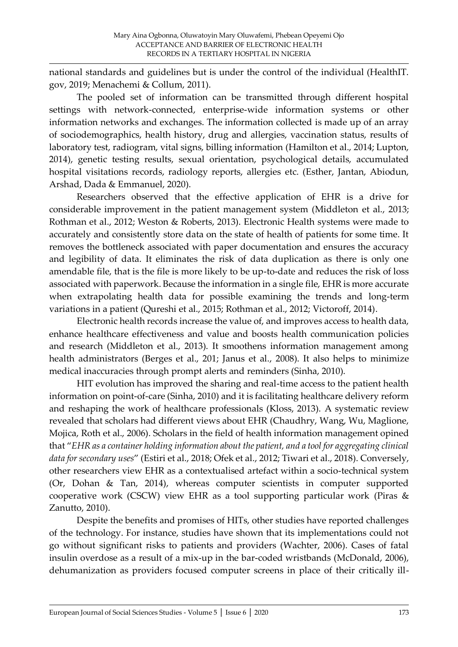national standards and guidelines but is under the control of the individual (HealthIT. gov, 2019; Menachemi & Collum, 2011).

The pooled set of information can be transmitted through different hospital settings with network-connected, enterprise-wide information systems or other information networks and exchanges. The information collected is made up of an array of sociodemographics, health history, drug and allergies, vaccination status, results of laboratory test, radiogram, vital signs, billing information (Hamilton et al., 2014; Lupton, 2014), genetic testing results, sexual orientation, psychological details, accumulated hospital visitations records, radiology reports, allergies etc. (Esther, Jantan, Abiodun, Arshad, Dada & Emmanuel, 2020).

Researchers observed that the effective application of EHR is a drive for considerable improvement in the patient management system (Middleton et al., 2013; Rothman et al., 2012; Weston & Roberts, 2013). Electronic Health systems were made to accurately and consistently store data on the state of health of patients for some time. It removes the bottleneck associated with paper documentation and ensures the accuracy and legibility of data. It eliminates the risk of data duplication as there is only one amendable file, that is the file is more likely to be up-to-date and reduces the risk of loss associated with paperwork. Because the information in a single file, EHR is more accurate when extrapolating health data for possible examining the trends and long-term variations in a patient (Qureshi et al., 2015; Rothman et al., 2012; Victoroff, 2014).

Electronic health records increase the value of, and improves access to health data, enhance healthcare effectiveness and value and boosts health communication policies and research (Middleton et al., 2013). It smoothens information management among health administrators (Berges et al., 201; Janus et al., 2008). It also helps to minimize medical inaccuracies through prompt alerts and reminders (Sinha, 2010).

HIT evolution has improved the sharing and real-time access to the patient health information on point-of-care (Sinha, 2010) and it is facilitating healthcare delivery reform and reshaping the work of healthcare professionals (Kloss, 2013). A systematic review revealed that scholars had different views about EHR (Chaudhry, Wang, Wu, Maglione, Mojica, Roth et al., 2006). Scholars in the field of health information management opined that "*EHR as a container holding information about the patient, and a tool for aggregating clinical data for secondary uses*" (Estiri et al., 2018; Ofek et al., 2012; Tiwari et al., 2018). Conversely, other researchers view EHR as a contextualised artefact within a socio-technical system (Or, Dohan & Tan, 2014), whereas computer scientists in computer supported cooperative work (CSCW) view EHR as a tool supporting particular work (Piras & Zanutto, 2010).

Despite the benefits and promises of HITs, other studies have reported challenges of the technology. For instance, studies have shown that its implementations could not go without significant risks to patients and providers (Wachter, 2006). Cases of fatal insulin overdose as a result of a mix-up in the bar-coded wristbands (McDonald, 2006), dehumanization as providers focused computer screens in place of their critically ill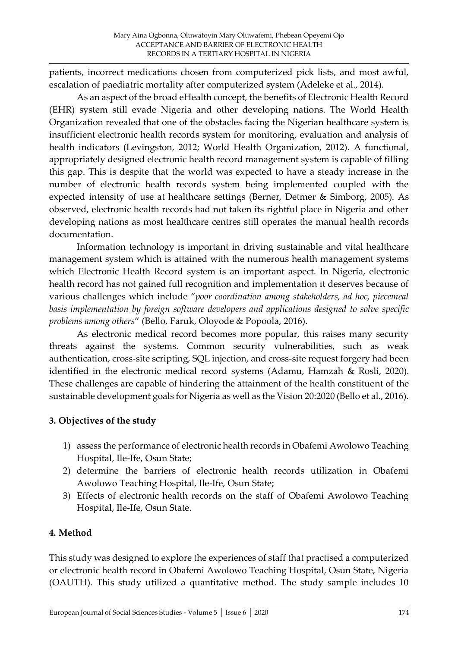patients, incorrect medications chosen from computerized pick lists, and most awful, escalation of paediatric mortality after computerized system (Adeleke et al., 2014).

As an aspect of the broad eHealth concept, the benefits of Electronic Health Record (EHR) system still evade Nigeria and other developing nations. The World Health Organization revealed that one of the obstacles facing the Nigerian healthcare system is insufficient electronic health records system for monitoring, evaluation and analysis of health indicators (Levingston, 2012; World Health Organization, 2012). A functional, appropriately designed electronic health record management system is capable of filling this gap. This is despite that the world was expected to have a steady increase in the number of electronic health records system being implemented coupled with the expected intensity of use at healthcare settings (Berner, Detmer & Simborg, 2005). As observed, electronic health records had not taken its rightful place in Nigeria and other developing nations as most healthcare centres still operates the manual health records documentation.

Information technology is important in driving sustainable and vital healthcare management system which is attained with the numerous health management systems which Electronic Health Record system is an important aspect. In Nigeria, electronic health record has not gained full recognition and implementation it deserves because of various challenges which include "*poor coordination among stakeholders, ad hoc, piecemeal basis implementation by foreign software developers and applications designed to solve specific problems among others*" (Bello, Faruk, Oloyode & Popoola, 2016).

As electronic medical record becomes more popular, this raises many security threats against the systems. Common security vulnerabilities, such as weak authentication, cross-site scripting, SQL injection, and cross-site request forgery had been identified in the electronic medical record systems (Adamu, Hamzah & Rosli, 2020). These challenges are capable of hindering the attainment of the health constituent of the sustainable development goals for Nigeria as well as the Vision 20:2020 (Bello et al., 2016).

# **3. Objectives of the study**

- 1) assess the performance of electronic health records in Obafemi Awolowo Teaching Hospital, Ile-Ife, Osun State;
- 2) determine the barriers of electronic health records utilization in Obafemi Awolowo Teaching Hospital, Ile-Ife, Osun State;
- 3) Effects of electronic health records on the staff of Obafemi Awolowo Teaching Hospital, Ile-Ife, Osun State.

### **4. Method**

This study was designed to explore the experiences of staff that practised a computerized or electronic health record in Obafemi Awolowo Teaching Hospital, Osun State, Nigeria (OAUTH). This study utilized a quantitative method. The study sample includes 10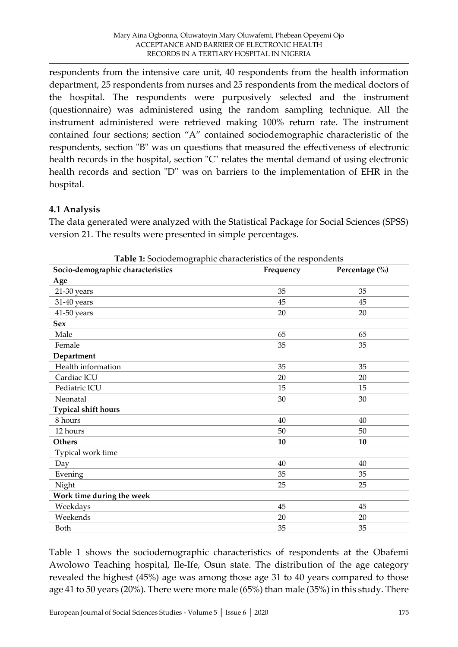respondents from the intensive care unit, 40 respondents from the health information department, 25 respondents from nurses and 25 respondents from the medical doctors of the hospital. The respondents were purposively selected and the instrument (questionnaire) was administered using the random sampling technique. All the instrument administered were retrieved making 100% return rate. The instrument contained four sections; section "A" contained sociodemographic characteristic of the respondents, section "B" was on questions that measured the effectiveness of electronic health records in the hospital, section "C" relates the mental demand of using electronic health records and section "D" was on barriers to the implementation of EHR in the hospital.

# **4.1 Analysis**

The data generated were analyzed with the Statistical Package for Social Sciences (SPSS) version 21. The results were presented in simple percentages.

| Socio-demographic characteristics | Frequency | Percentage (%) |
|-----------------------------------|-----------|----------------|
| Age                               |           |                |
| 21-30 years                       | 35        | 35             |
| 31-40 years                       | 45        | 45             |
| 41-50 years                       | 20        | 20             |
| <b>Sex</b>                        |           |                |
| Male                              | 65        | 65             |
| Female                            | 35        | 35             |
| Department                        |           |                |
| Health information                | 35        | 35             |
| Cardiac ICU                       | 20        | 20             |
| Pediatric ICU                     | 15        | 15             |
| Neonatal                          | 30        | 30             |
| <b>Typical shift hours</b>        |           |                |
| 8 hours                           | 40        | 40             |
| 12 hours                          | 50        | 50             |
| <b>Others</b>                     | 10        | 10             |
| Typical work time                 |           |                |
| Day                               | 40        | 40             |
| Evening                           | 35        | 35             |
| Night                             | 25        | 25             |
| Work time during the week         |           |                |
| Weekdays                          | 45        | 45             |
| Weekends                          | 20        | 20             |
| Both                              | 35        | 35             |

**Table 1:** Sociodemographic characteristics of the respondents

Table 1 shows the sociodemographic characteristics of respondents at the Obafemi Awolowo Teaching hospital, Ile-Ife, Osun state. The distribution of the age category revealed the highest (45%) age was among those age 31 to 40 years compared to those age 41 to 50 years (20%). There were more male (65%) than male (35%) in this study. There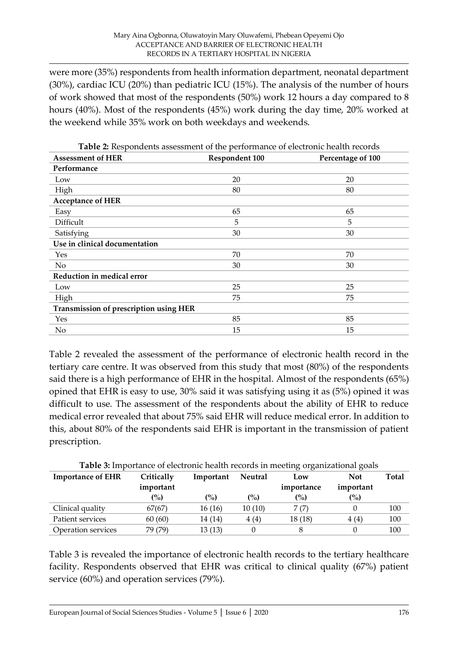were more (35%) respondents from health information department, neonatal department (30%), cardiac ICU (20%) than pediatric ICU (15%). The analysis of the number of hours of work showed that most of the respondents (50%) work 12 hours a day compared to 8 hours (40%). Most of the respondents (45%) work during the day time, 20% worked at the weekend while 35% work on both weekdays and weekends.

| <b>Assessment of HER</b>               | <b>Respondent 100</b> | Percentage of 100 |
|----------------------------------------|-----------------------|-------------------|
| Performance                            |                       |                   |
| Low                                    | 20                    | 20                |
| High                                   | 80                    | 80                |
| <b>Acceptance of HER</b>               |                       |                   |
| Easy                                   | 65                    | 65                |
| Difficult                              | 5                     | 5                 |
| Satisfying                             | 30                    | 30                |
| Use in clinical documentation          |                       |                   |
| Yes                                    | 70                    | 70                |
| No                                     | 30                    | 30                |
| Reduction in medical error             |                       |                   |
| Low                                    | 25                    | 25                |
| High                                   | 75                    | 75                |
| Transmission of prescription using HER |                       |                   |
| Yes                                    | 85                    | 85                |
| No                                     | 15                    | 15                |

**Table 2:** Respondents assessment of the performance of electronic health records

Table 2 revealed the assessment of the performance of electronic health record in the tertiary care centre. It was observed from this study that most (80%) of the respondents said there is a high performance of EHR in the hospital. Almost of the respondents (65%) opined that EHR is easy to use, 30% said it was satisfying using it as (5%) opined it was difficult to use. The assessment of the respondents about the ability of EHR to reduce medical error revealed that about 75% said EHR will reduce medical error. In addition to this, about 80% of the respondents said EHR is important in the transmission of patient prescription.

| <b>Table 3:</b> Importance of electronic health records in meeting organizational goals |                    |                    |                |            |            |       |
|-----------------------------------------------------------------------------------------|--------------------|--------------------|----------------|------------|------------|-------|
| <b>Importance of EHR</b>                                                                | Critically         | Important          | <b>Neutral</b> | Low        | <b>Not</b> | Total |
|                                                                                         | important          |                    |                | importance | important  |       |
|                                                                                         | $\left( \%\right)$ | $\left( \%\right)$ | (%)            | (%)        | (%)        |       |
| Clinical quality                                                                        | 67(67)             | 16(16)             | 10(10)         | 7 (7)      |            | 100   |
| Patient services                                                                        | 60(60)             | 14 (14)            | 4(4)           | 18(18)     | 4(4)       | 100   |
| Operation services                                                                      | 79 (79)            | 13(13)             |                |            |            | 100   |

Table 3 is revealed the importance of electronic health records to the tertiary healthcare facility. Respondents observed that EHR was critical to clinical quality (67%) patient service (60%) and operation services (79%).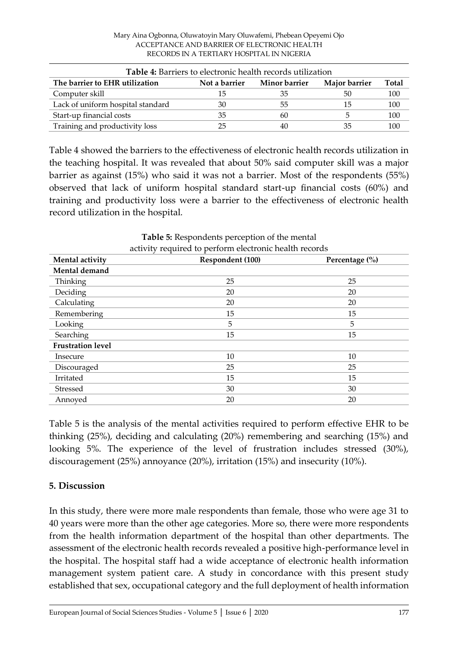| Mary Aina Ogbonna, Oluwatoyin Mary Oluwafemi, Phebean Opeyemi Ojo |  |
|-------------------------------------------------------------------|--|
| ACCEPTANCE AND BARRIER OF ELECTRONIC HEALTH                       |  |
| RECORDS IN A TERTIARY HOSPITAL IN NIGERIA                         |  |

| <b>Table 4:</b> Barriers to electronic health records utilization |               |               |               |              |
|-------------------------------------------------------------------|---------------|---------------|---------------|--------------|
| The barrier to EHR utilization                                    | Not a barrier | Minor barrier | Major barrier | <b>Total</b> |
| Computer skill                                                    | 15            | 35            | 50            | 100          |
| Lack of uniform hospital standard                                 | 30            | 55            | 15            | 100          |
| Start-up financial costs                                          | 35            | 60            |               | 100          |
| Training and productivity loss                                    | 25            | 40            | 35            | 100          |

Table 4 showed the barriers to the effectiveness of electronic health records utilization in the teaching hospital. It was revealed that about 50% said computer skill was a major barrier as against (15%) who said it was not a barrier. Most of the respondents (55%) observed that lack of uniform hospital standard start-up financial costs (60%) and training and productivity loss were a barrier to the effectiveness of electronic health record utilization in the hospital.

| activity required to perform electronic health records |                  |                    |  |
|--------------------------------------------------------|------------------|--------------------|--|
| Mental activity                                        | Respondent (100) | Percentage $(\% )$ |  |
| Mental demand                                          |                  |                    |  |
| Thinking                                               | 25               | 25                 |  |
| Deciding                                               | 20               | 20                 |  |
| Calculating                                            | 20               | 20                 |  |
| Remembering                                            | 15               | 15                 |  |
| Looking                                                | 5                | 5                  |  |
| Searching                                              | 15               | 15                 |  |
| <b>Frustration level</b>                               |                  |                    |  |
| Insecure                                               | 10               | 10                 |  |
| Discouraged                                            | 25               | 25                 |  |
| Irritated                                              | 15               | 15                 |  |
| Stressed                                               | 30               | 30                 |  |
| Annoyed                                                | 20               | 20                 |  |

**Table 5:** Respondents perception of the mental

Table 5 is the analysis of the mental activities required to perform effective EHR to be thinking (25%), deciding and calculating (20%) remembering and searching (15%) and looking 5%. The experience of the level of frustration includes stressed (30%), discouragement (25%) annoyance (20%), irritation (15%) and insecurity (10%).

# **5. Discussion**

In this study, there were more male respondents than female, those who were age 31 to 40 years were more than the other age categories. More so, there were more respondents from the health information department of the hospital than other departments. The assessment of the electronic health records revealed a positive high-performance level in the hospital. The hospital staff had a wide acceptance of electronic health information management system patient care. A study in concordance with this present study established that sex, occupational category and the full deployment of health information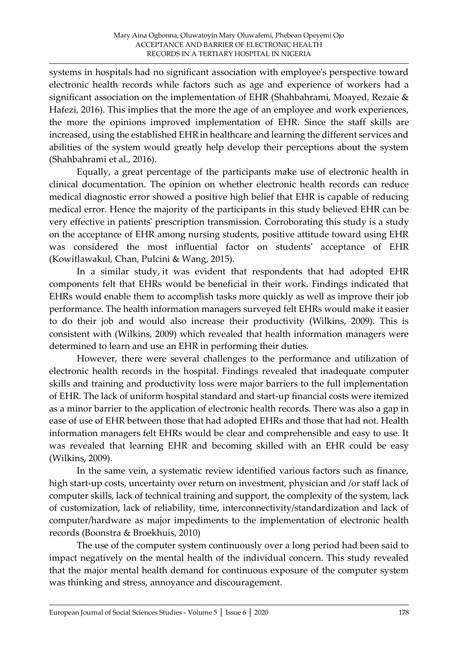systems in hospitals had no significant association with employee's perspective toward electronic health records while factors such as age and experience of workers had a significant association on the implementation of EHR (Shahbahrami, Moayed, Rezaie & Hafezi, 2016). This implies that the more the age of an employee and work experiences, the more the opinions improved implementation of EHR. Since the staff skills are increased, using the established EHR in healthcare and learning the different services and abilities of the system would greatly help develop their perceptions about the system (Shahbahrami et al., 2016).

Equally, a great percentage of the participants make use of electronic health in clinical documentation. The opinion on whether electronic health records can reduce medical diagnostic error showed a positive high belief that EHR is capable of reducing medical error. Hence the majority of the participants in this study believed EHR can be very effective in patients' prescription transmission. Corroborating this study is a study on the acceptance of EHR among nursing students, positive attitude toward using EHR was considered the most influential factor on students' acceptance of EHR (Kowitlawakul, Chan, Pulcini & Wang, 2015).

In a similar study, it was evident that respondents that had adopted EHR components felt that EHRs would be beneficial in their work. Findings indicated that EHRs would enable them to accomplish tasks more quickly as well as improve their job performance. The health information managers surveyed felt EHRs would make it easier to do their job and would also increase their productivity (Wilkins, 2009). This is consistent with (Wilkins, 2009) which revealed that health information managers were determined to learn and use an EHR in performing their duties.

However, there were several challenges to the performance and utilization of electronic health records in the hospital. Findings revealed that inadequate computer skills and training and productivity loss were major barriers to the full implementation of EHR. The lack of uniform hospital standard and start-up financial costs were itemized as a minor barrier to the application of electronic health records. There was also a gap in ease of use of EHR between those that had adopted EHRs and those that had not. Health information managers felt EHRs would be clear and comprehensible and easy to use. It was revealed that learning EHR and becoming skilled with an EHR could be easy (Wilkins, 2009).

In the same vein, a systematic review identified various factors such as finance, high start-up costs, uncertainty over return on investment, physician and /or staff lack of computer skills, lack of technical training and support, the complexity of the system, lack of customization, lack of reliability, time, interconnectivity/standardization and lack of computer/hardware as major impediments to the implementation of electronic health records (Boonstra & Broekhuis, 2010)

The use of the computer system continuously over a long period had been said to impact negatively on the mental health of the individual concern. This study revealed that the major mental health demand for continuous exposure of the computer system was thinking and stress, annoyance and discouragement.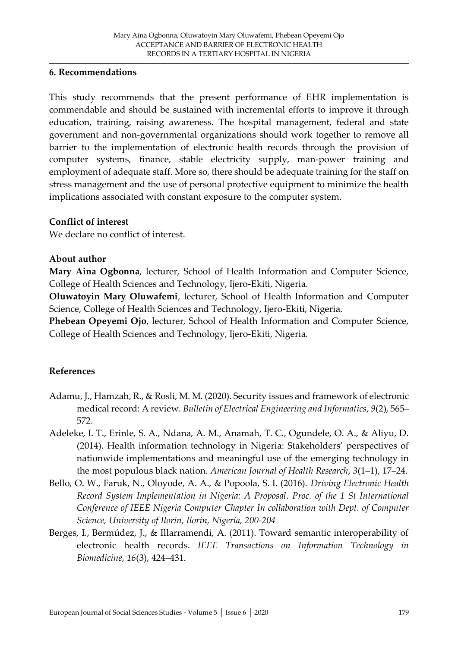#### **6. Recommendations**

This study recommends that the present performance of EHR implementation is commendable and should be sustained with incremental efforts to improve it through education, training, raising awareness. The hospital management, federal and state government and non-governmental organizations should work together to remove all barrier to the implementation of electronic health records through the provision of computer systems, finance, stable electricity supply, man-power training and employment of adequate staff. More so, there should be adequate training for the staff on stress management and the use of personal protective equipment to minimize the health implications associated with constant exposure to the computer system.

#### **Conflict of interest**

We declare no conflict of interest.

#### **About author**

**Mary Aina Ogbonna**, lecturer, School of Health Information and Computer Science, College of Health Sciences and Technology, Ijero-Ekiti, Nigeria.

**Oluwatoyin Mary Oluwafemi**, lecturer, School of Health Information and Computer Science, College of Health Sciences and Technology, Ijero-Ekiti, Nigeria.

**Phebean Opeyemi Ojo**, lecturer, School of Health Information and Computer Science, College of Health Sciences and Technology, Ijero-Ekiti, Nigeria.

### **References**

- Adamu, J., Hamzah, R., & Rosli, M. M. (2020). Security issues and framework of electronic medical record: A review. *Bulletin of Electrical Engineering and Informatics*, *9*(2), 565– 572.
- Adeleke, I. T., Erinle, S. A., Ndana, A. M., Anamah, T. C., Ogundele, O. A., & Aliyu, D. (2014). Health information technology in Nigeria: Stakeholders' perspectives of nationwide implementations and meaningful use of the emerging technology in the most populous black nation. *American Journal of Health Research*, *3*(1–1), 17–24.
- Bello, O. W., Faruk, N., Oloyode, A. A., & Popoola, S. I. (2016). *Driving Electronic Health Record System Implementation in Nigeria: A Proposal*. *Proc. of the 1 St International Conference of IEEE Nigeria Computer Chapter In collaboration with Dept. of Computer Science, University of Ilorin, Ilorin, Nigeria, 200-204*
- Berges, I., Bermúdez, J., & Illarramendi, A. (2011). Toward semantic interoperability of electronic health records. *IEEE Transactions on Information Technology in Biomedicine*, *16*(3), 424–431.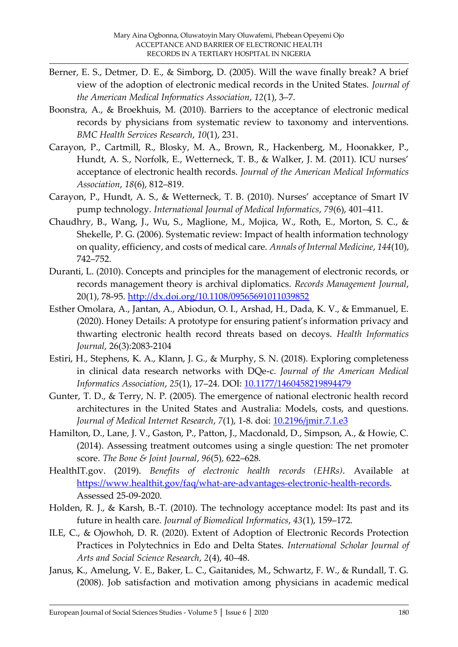- Berner, E. S., Detmer, D. E., & Simborg, D. (2005). Will the wave finally break? A brief view of the adoption of electronic medical records in the United States. *Journal of the American Medical Informatics Association*, *12*(1), 3–7.
- Boonstra, A., & Broekhuis, M. (2010). Barriers to the acceptance of electronic medical records by physicians from systematic review to taxonomy and interventions. *BMC Health Services Research*, *10*(1), 231.
- Carayon, P., Cartmill, R., Blosky, M. A., Brown, R., Hackenberg, M., Hoonakker, P., Hundt, A. S., Norfolk, E., Wetterneck, T. B., & Walker, J. M. (2011). ICU nurses' acceptance of electronic health records. *Journal of the American Medical Informatics Association*, *18*(6), 812–819.
- Carayon, P., Hundt, A. S., & Wetterneck, T. B. (2010). Nurses' acceptance of Smart IV pump technology. *International Journal of Medical Informatics*, *79*(6), 401–411.
- Chaudhry, B., Wang, J., Wu, S., Maglione, M., Mojica, W., Roth, E., Morton, S. C., & Shekelle, P. G. (2006). Systematic review: Impact of health information technology on quality, efficiency, and costs of medical care. *Annals of Internal Medicine*, *144*(10), 742–752.
- Duranti, L. (2010). Concepts and principles for the management of electronic records, or records management theory is archival diplomatics. *Records Management Journal*, 20(1), 78-95.<http://dx.doi.org/10.1108/09565691011039852>
- Esther Omolara, A., Jantan, A., Abiodun, O. I., Arshad, H., Dada, K. V., & Emmanuel, E. (2020). Honey Details: A prototype for ensuring patient's information privacy and thwarting electronic health record threats based on decoys. *Health Informatics Journal*, 26(3):2083-2104
- Estiri, H., Stephens, K. A., Klann, J. G., & Murphy, S. N. (2018). Exploring completeness in clinical data research networks with DQe-c. *Journal of the American Medical Informatics Association*, *25*(1), 17–24. DOI: [10.1177/1460458219894479](https://doi.org/10.1177/1460458219894479)
- Gunter, T. D., & Terry, N. P. (2005). The emergence of national electronic health record architectures in the United States and Australia: Models, costs, and questions. *Journal of Medical Internet Research*, *7*(1), 1-8. doi: [10.2196/jmir.7.1.e3](https://dx.doi.org/10.2196%2Fjmir.7.1.e3)
- Hamilton, D., Lane, J. V., Gaston, P., Patton, J., Macdonald, D., Simpson, A., & Howie, C. (2014). Assessing treatment outcomes using a single question: The net promoter score. *The Bone & Joint Journal*, *96*(5), 622–628.
- HealthIT.gov. (2019). *Benefits of electronic health records (EHRs)*. Available at [https://www.healthit.gov/faq/what-are-advantages-electronic-health-records.](https://www.healthit.gov/faq/what-are-advantages-electronic-health-records) Assessed 25-09-2020.
- Holden, R. J., & Karsh, B.-T. (2010). The technology acceptance model: Its past and its future in health care. *Journal of Biomedical Informatics*, *43*(1), 159–172.
- ILE, C., & Ojowhoh, D. R. (2020). Extent of Adoption of Electronic Records Protection Practices in Polytechnics in Edo and Delta States. *International Scholar Journal of Arts and Social Science Research*, *2*(4), 40–48.
- Janus, K., Amelung, V. E., Baker, L. C., Gaitanides, M., Schwartz, F. W., & Rundall, T. G. (2008). Job satisfaction and motivation among physicians in academic medical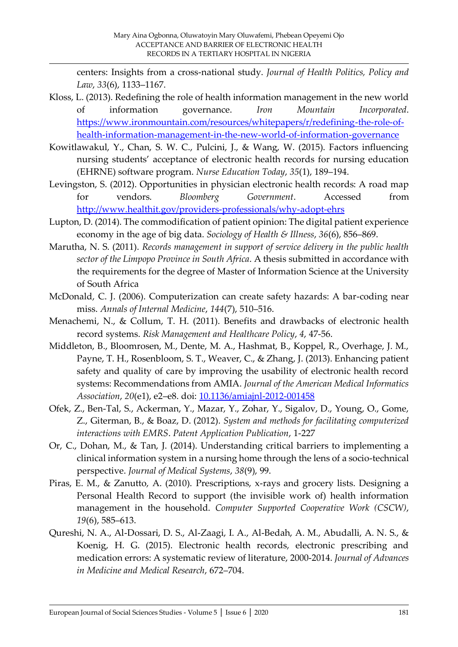centers: Insights from a cross-national study. *Journal of Health Politics, Policy and Law*, *33*(6), 1133–1167.

- Kloss, L. (2013). Redefining the role of health information management in the new world of information governance. *Iron Mountain Incorporated*. [https://www.ironmountain.com/resources/whitepapers/r/redefining-the-role-of](https://www.ironmountain.com/resources/whitepapers/r/redefining-the-role-of-health-information-management-in-the-new-world-of-information-governance)[health-information-management-in-the-new-world-of-information-governance](https://www.ironmountain.com/resources/whitepapers/r/redefining-the-role-of-health-information-management-in-the-new-world-of-information-governance)
- Kowitlawakul, Y., Chan, S. W. C., Pulcini, J., & Wang, W. (2015). Factors influencing nursing students' acceptance of electronic health records for nursing education (EHRNE) software program. *Nurse Education Today*, *35*(1), 189–194.
- Levingston, S. (2012). Opportunities in physician electronic health records: A road map for vendors. *Bloomberg Government*. Accessed from <http://www.healthit.gov/providers-professionals/why-adopt-ehrs>
- Lupton, D. (2014). The commodification of patient opinion: The digital patient experience economy in the age of big data. *Sociology of Health & Illness*, *36*(6), 856–869.
- Marutha, N. S. (2011). *Records management in support of service delivery in the public health sector of the Limpopo Province in South Africa*. A thesis submitted in accordance with the requirements for the degree of Master of Information Science at the University of South Africa
- McDonald, C. J. (2006). Computerization can create safety hazards: A bar-coding near miss. *Annals of Internal Medicine*, *144*(7), 510–516.
- Menachemi, N., & Collum, T. H. (2011). Benefits and drawbacks of electronic health record systems. *Risk Management and Healthcare Policy*, *4*, 47-56.
- Middleton, B., Bloomrosen, M., Dente, M. A., Hashmat, B., Koppel, R., Overhage, J. M., Payne, T. H., Rosenbloom, S. T., Weaver, C., & Zhang, J. (2013). Enhancing patient safety and quality of care by improving the usability of electronic health record systems: Recommendations from AMIA. *Journal of the American Medical Informatics Association*, *20*(e1), e2–e8. doi: [10.1136/amiajnl-2012-001458](https://dx.doi.org/10.1136%2Famiajnl-2012-001458)
- Ofek, Z., Ben-Tal, S., Ackerman, Y., Mazar, Y., Zohar, Y., Sigalov, D., Young, O., Gome, Z., Giterman, B., & Boaz, D. (2012). *System and methods for facilitating computerized interactions with EMRS*. *Patent Application Publication*, 1-227
- Or, C., Dohan, M., & Tan, J. (2014). Understanding critical barriers to implementing a clinical information system in a nursing home through the lens of a socio-technical perspective. *Journal of Medical Systems*, *38*(9), 99.
- Piras, E. M., & Zanutto, A. (2010). Prescriptions, x-rays and grocery lists. Designing a Personal Health Record to support (the invisible work of) health information management in the household. *Computer Supported Cooperative Work (CSCW)*, *19*(6), 585–613.
- Qureshi, N. A., Al-Dossari, D. S., Al-Zaagi, I. A., Al-Bedah, A. M., Abudalli, A. N. S., & Koenig, H. G. (2015). Electronic health records, electronic prescribing and medication errors: A systematic review of literature, 2000-2014. *Journal of Advances in Medicine and Medical Research*, 672–704.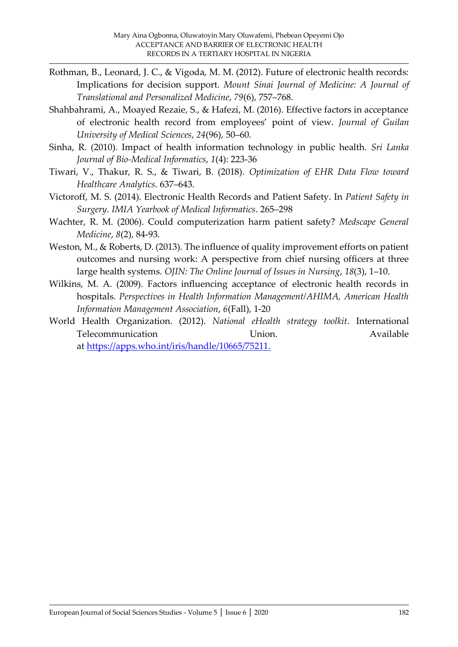- Rothman, B., Leonard, J. C., & Vigoda, M. M. (2012). Future of electronic health records: Implications for decision support. *Mount Sinai Journal of Medicine: A Journal of Translational and Personalized Medicine*, *79*(6), 757–768.
- Shahbahrami, A., Moayed Rezaie, S., & Hafezi, M. (2016). Effective factors in acceptance of electronic health record from employees' point of view. *Journal of Guilan University of Medical Sciences*, *24*(96), 50–60.
- Sinha, R. (2010). Impact of health information technology in public health. *Sri Lanka Journal of Bio-Medical Informatics*, *1*(4): 223-36
- Tiwari, V., Thakur, R. S., & Tiwari, B. (2018). *Optimization of EHR Data Flow toward Healthcare Analytics*. 637–643.
- Victoroff, M. S. (2014). Electronic Health Records and Patient Safety. In *Patient Safety in Surgery*. *IMIA Yearbook of Medical Informatics*. 265–298
- Wachter, R. M. (2006). Could computerization harm patient safety? *Medscape General Medicine*, *8*(2), 84-93.
- Weston, M., & Roberts, D. (2013). The influence of quality improvement efforts on patient outcomes and nursing work: A perspective from chief nursing officers at three large health systems. *OJIN: The Online Journal of Issues in Nursing*, *18*(3), 1–10.
- Wilkins, M. A. (2009). Factors influencing acceptance of electronic health records in hospitals. *Perspectives in Health Information Management/AHIMA, American Health Information Management Association*, *6*(Fall), 1-20
- World Health Organization. (2012). *National eHealth strategy toolkit*. International Telecommunication Union. Union. Available at [https://apps.who.int/iris/handle/10665/75211.](https://apps.who.int/iris/handle/10665/75211)